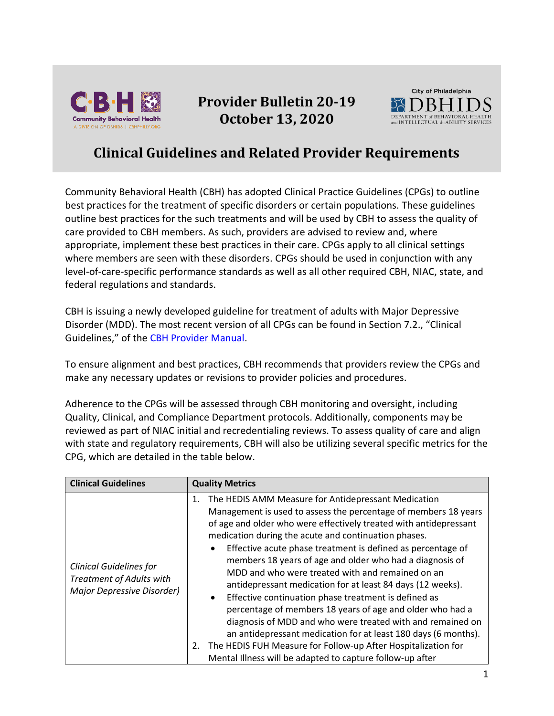

## **Provider Bulletin 20-19 October 13, 2020**



## **Clinical Guidelines and Related Provider Requirements**

Community Behavioral Health (CBH) has adopted Clinical Practice Guidelines (CPGs) to outline best practices for the treatment of specific disorders or certain populations. These guidelines outline best practices for the such treatments and will be used by CBH to assess the quality of care provided to CBH members. As such, providers are advised to review and, where appropriate, implement these best practices in their care. CPGs apply to all clinical settings where members are seen with these disorders. CPGs should be used in conjunction with any level-of-care-specific performance standards as well as all other required CBH, NIAC, state, and federal regulations and standards.

CBH is issuing a newly developed guideline for treatment of adults with Major Depressive Disorder (MDD). The most recent version of all CPGs can be found in Section 7.2., "Clinical Guidelines," of the [CBH Provider Manual.](https://cbhphilly.org/cbh-providers/oversight-and-monitoring/cbh-provider-manual/)

To ensure alignment and best practices, CBH recommends that providers review the CPGs and make any necessary updates or revisions to provider policies and procedures.

Adherence to the CPGs will be assessed through CBH monitoring and oversight, including Quality, Clinical, and Compliance Department protocols. Additionally, components may be reviewed as part of NIAC initial and recredentialing reviews. To assess quality of care and align with state and regulatory requirements, CBH will also be utilizing several specific metrics for the CPG, which are detailed in the table below.

| <b>Clinical Guidelines</b>                                                                      | <b>Quality Metrics</b>                                                                                                                                                                                                                                                                                                                                                                                                                                                                                                                                                                                                                                                                                                                                                                                                                                                                                                    |
|-------------------------------------------------------------------------------------------------|---------------------------------------------------------------------------------------------------------------------------------------------------------------------------------------------------------------------------------------------------------------------------------------------------------------------------------------------------------------------------------------------------------------------------------------------------------------------------------------------------------------------------------------------------------------------------------------------------------------------------------------------------------------------------------------------------------------------------------------------------------------------------------------------------------------------------------------------------------------------------------------------------------------------------|
| <b>Clinical Guidelines for</b><br><b>Treatment of Adults with</b><br>Major Depressive Disorder) | The HEDIS AMM Measure for Antidepressant Medication<br>1.<br>Management is used to assess the percentage of members 18 years<br>of age and older who were effectively treated with antidepressant<br>medication during the acute and continuation phases.<br>Effective acute phase treatment is defined as percentage of<br>$\bullet$<br>members 18 years of age and older who had a diagnosis of<br>MDD and who were treated with and remained on an<br>antidepressant medication for at least 84 days (12 weeks).<br>Effective continuation phase treatment is defined as<br>$\bullet$<br>percentage of members 18 years of age and older who had a<br>diagnosis of MDD and who were treated with and remained on<br>an antidepressant medication for at least 180 days (6 months).<br>The HEDIS FUH Measure for Follow-up After Hospitalization for<br>2.<br>Mental Illness will be adapted to capture follow-up after |